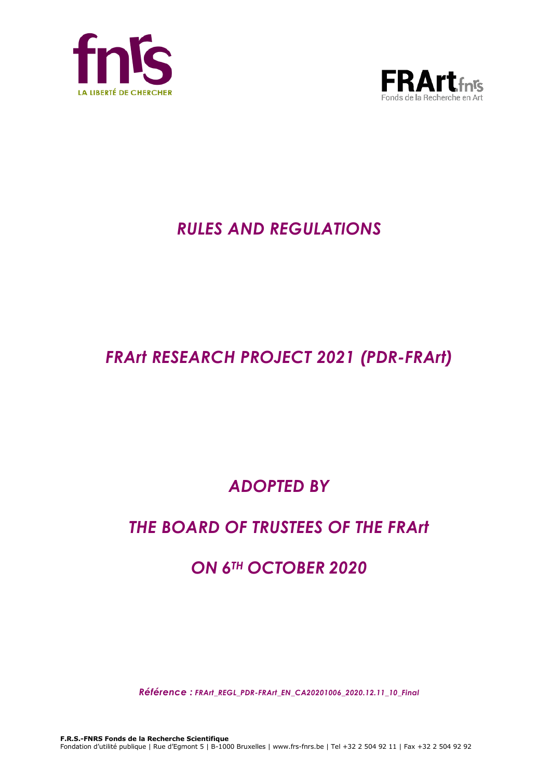



# *RULES AND REGULATIONS*

# *FRArt RESEARCH PROJECT 2021 (PDR-FRArt)*

# *ADOPTED BY*

# *THE BOARD OF TRUSTEES OF THE FRArt*

# *ON 6TH OCTOBER 2020*

*Référence : FRArt\_REGL\_PDR-FRArt\_EN\_CA20201006\_2020.12.11\_10\_Final*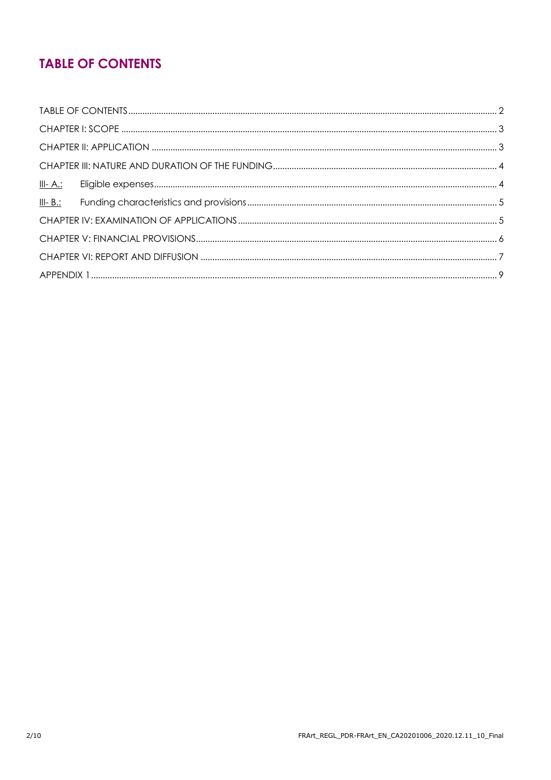# **TABLE OF CONTENTS**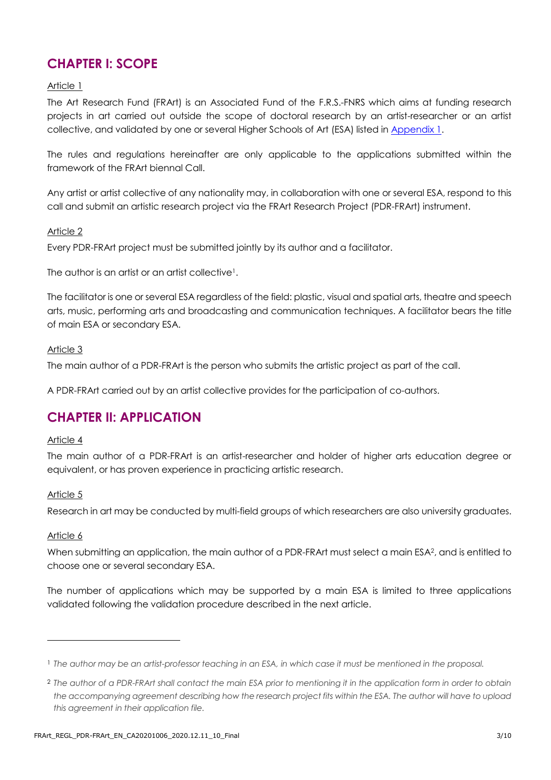## **CHAPTER I: SCOPE**

#### Article 1

The Art Research Fund (FRArt) is an Associated Fund of the F.R.S.-FNRS which aims at funding research projects in art carried out outside the scope of doctoral research by an artist-researcher or an artist collective, and validated by one or several Higher Schools of Art (ESA) listed in [Appendix 1.](#page-8-0)

The rules and regulations hereinafter are only applicable to the applications submitted within the framework of the FRArt biennal Call.

Any artist or artist collective of any nationality may, in collaboration with one or several ESA, respond to this call and submit an artistic research project via the FRArt Research Project (PDR-FRArt) instrument.

#### Article 2

Every PDR-FRArt project must be submitted jointly by its author and a facilitator.

The author is an artist or an artist collective<sup>1</sup>.

The facilitator is one or several ESA regardless of the field: plastic, visual and spatial arts, theatre and speech arts, music, performing arts and broadcasting and communication techniques. A facilitator bears the title of main ESA or secondary ESA.

#### Article 3

The main author of a PDR-FRArt is the person who submits the artistic project as part of the call.

A PDR-FRArt carried out by an artist collective provides for the participation of co-authors.

## **CHAPTER II: APPLICATION**

#### Article 4

The main author of a PDR-FRArt is an artist-researcher and holder of higher arts education degree or equivalent, or has proven experience in practicing artistic research.

#### Article 5

Research in art may be conducted by multi-field groups of which researchers are also university graduates.

#### Article 6

 $\overline{a}$ 

When submitting an application, the main author of a PDR-FRArt must select a main ESA<sup>2</sup>, and is entitled to choose one or several secondary ESA.

The number of applications which may be supported by a main ESA is limited to three applications validated following the validation procedure described in the next article.

<sup>1</sup> *The author may be an artist-professor teaching in an ESA, in which case it must be mentioned in the proposal.*

<sup>2</sup> *The author of a PDR-FRArt shall contact the main ESA prior to mentioning it in the application form in order to obtain the accompanying agreement describing how the research project fits within the ESA. The author will have to upload this agreement in their application file.*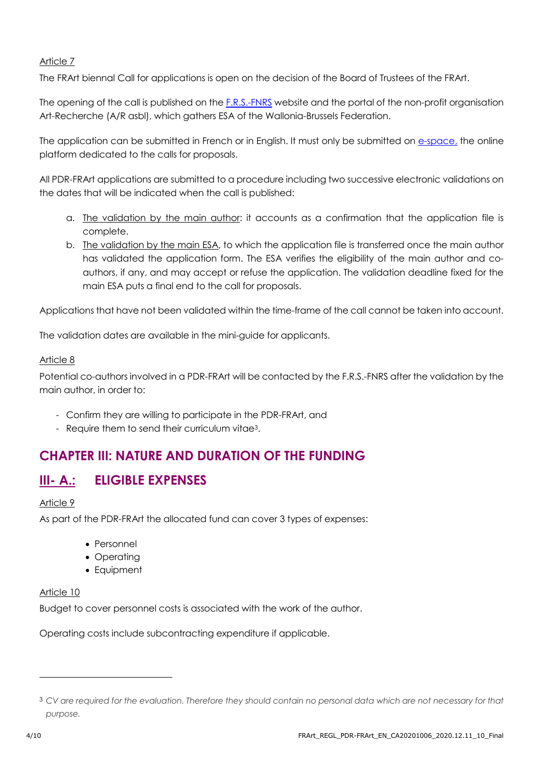#### Article 7

The FRArt biennal Call for applications is open on the decision of the Board of Trustees of the FRArt.

The opening of the call is published on the **F.R.S.-FNRS** website and the portal of the non-profit organisation Art-Recherche (A/R asbl), which gathers ESA of the Wallonia-Brussels Federation.

The application can be submitted in French or in English. It must only be submitted on [e-space,](https://e-space.frs-fnrs.be/) the online platform dedicated to the calls for proposals.

All PDR-FRArt applications are submitted to a procedure including two successive electronic validations on the dates that will be indicated when the call is published:

- a. The validation by the main author: it accounts as a confirmation that the application file is complete.
- b. The validation by the main ESA, to which the application file is transferred once the main author has validated the application form. The ESA verifies the eligibility of the main author and coauthors, if any, and may accept or refuse the application. The validation deadline fixed for the main ESA puts a final end to the call for proposals.

Applications that have not been validated within the time-frame of the call cannot be taken into account.

The validation dates are available in the mini-guide for applicants.

#### Article 8

Potential co-authors involved in a PDR-FRArt will be contacted by the F.R.S.-FNRS after the validation by the main author, in order to:

- Confirm they are willing to participate in the PDR-FRArt, and
- Require them to send their curriculum vitae3.

### **CHAPTER III: NATURE AND DURATION OF THE FUNDING**

### **III- A.: ELIGIBLE EXPENSES**

#### Article 9

As part of the PDR-FRArt the allocated fund can cover 3 types of expenses:

- Personnel
- Operatina
- Equipment

#### Article 10

Budget to cover personnel costs is associated with the work of the author.

Operating costs include subcontracting expenditure if applicable.

l

<sup>3</sup> *CV are required for the evaluation. Therefore they should contain no personal data which are not necessary for that purpose.*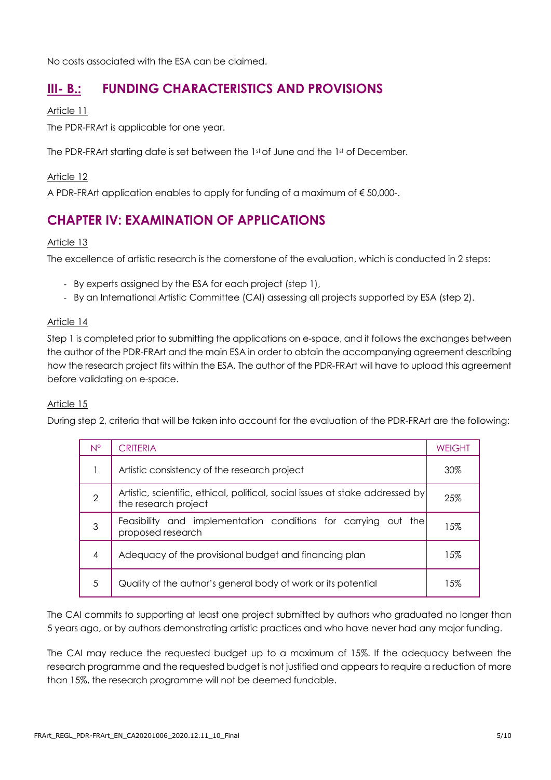No costs associated with the ESA can be claimed.

### **III- B.: FUNDING CHARACTERISTICS AND PROVISIONS**

#### Article 11

The PDR-FRArt is applicable for one year.

The PDR-FRArt starting date is set between the 1st of June and the 1st of December.

#### Article 12

A PDR-FRArt application enables to apply for funding of a maximum of € 50,000-.

### **CHAPTER IV: EXAMINATION OF APPLICATIONS**

#### Article 13

The excellence of artistic research is the cornerstone of the evaluation, which is conducted in 2 steps:

- By experts assigned by the ESA for each project (step 1),
- By an International Artistic Committee (CAI) assessing all projects supported by ESA (step 2).

#### Article 14

Step 1 is completed prior to submitting the applications on e-space, and it follows the exchanges between the author of the PDR-FRArt and the main ESA in order to obtain the accompanying agreement describing how the research project fits within the ESA. The author of the PDR-FRArt will have to upload this agreement before validating on e-space.

#### Article 15

During step 2, criteria that will be taken into account for the evaluation of the PDR-FRArt are the following:

| $N^{\circ}$ | <b>CRITERIA</b>                                                                                       | WEIGHT |
|-------------|-------------------------------------------------------------------------------------------------------|--------|
|             | Artistic consistency of the research project                                                          | 30%    |
| 2           | Artistic, scientific, ethical, political, social issues at stake addressed by<br>the research project | 25%    |
| 3           | Feasibility and implementation conditions for carrying out the<br>proposed research                   | 15%    |
| 4           | Adequacy of the provisional budget and financing plan                                                 | 15%    |
| 5           | Quality of the author's general body of work or its potential                                         | 15%    |

The CAI commits to supporting at least one project submitted by authors who graduated no longer than 5 years ago, or by authors demonstrating artistic practices and who have never had any major funding.

The CAI may reduce the requested budget up to a maximum of 15%. If the adequacy between the research programme and the requested budget is not justified and appears to require a reduction of more than 15%, the research programme will not be deemed fundable.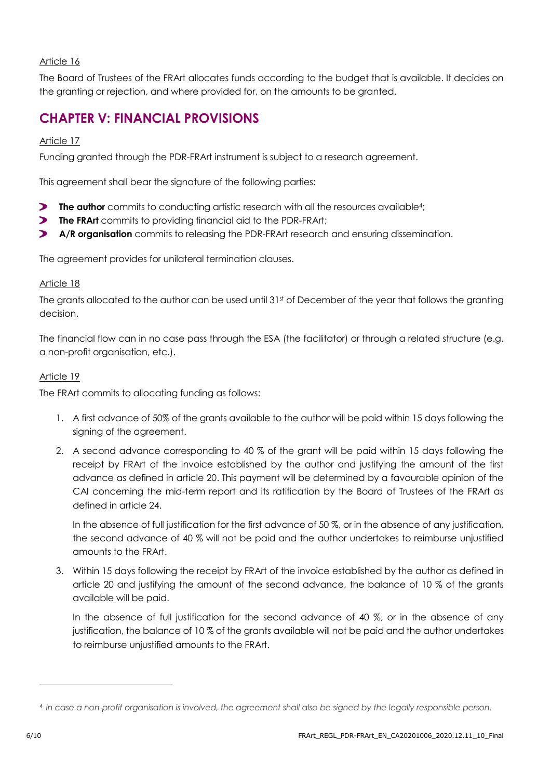#### Article 16

The Board of Trustees of the FRArt allocates funds according to the budget that is available. It decides on the granting or rejection, and where provided for, on the amounts to be granted.

## **CHAPTER V: FINANCIAL PROVISIONS**

#### Article 17

Funding granted through the PDR-FRArt instrument is subject to a research agreement.

This agreement shall bear the signature of the following parties:

- **The author** commits to conducting artistic research with all the resources available<sup>4</sup>;
- **The FRArt** commits to providing financial aid to the PDR-FRArt;
- **A/R organisation** commits to releasing the PDR-FRArt research and ensuring dissemination.  $\blacktriangleright$

The agreement provides for unilateral termination clauses.

#### Article 18

The grants allocated to the author can be used until 31st of December of the year that follows the granting decision.

The financial flow can in no case pass through the ESA (the facilitator) or through a related structure (e.g. a non-profit organisation, etc.).

#### Article 19

The FRArt commits to allocating funding as follows:

- 1. A first advance of 50% of the grants available to the author will be paid within 15 days following the signing of the agreement.
- 2. A second advance corresponding to 40 % of the grant will be paid within 15 days following the receipt by FRArt of the invoice established by the author and justifying the amount of the first advance as defined in article 20. This payment will be determined by a favourable opinion of the CAI concerning the mid-term report and its ratification by the Board of Trustees of the FRArt as defined in article 24.

In the absence of full justification for the first advance of 50 %, or in the absence of any justification, the second advance of 40 % will not be paid and the author undertakes to reimburse unjustified amounts to the FRArt.

3. Within 15 days following the receipt by FRArt of the invoice established by the author as defined in article 20 and justifying the amount of the second advance, the balance of 10 % of the grants available will be paid.

In the absence of full justification for the second advance of 40 %, or in the absence of any justification, the balance of 10 % of the grants available will not be paid and the author undertakes to reimburse unjustified amounts to the FRArt.

l

<sup>&</sup>lt;sup>4</sup> In case a non-profit organisation is involved, the agreement shall also be signed by the legally responsible person.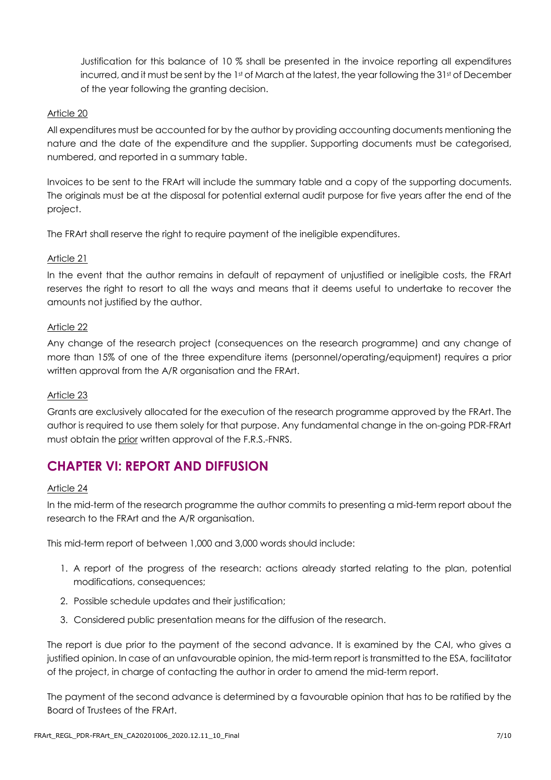Justification for this balance of 10 % shall be presented in the invoice reporting all expenditures incurred, and it must be sent by the 1st of March at the latest, the year following the 31st of December of the year following the granting decision.

#### Article 20

All expenditures must be accounted for by the author by providing accounting documents mentioning the nature and the date of the expenditure and the supplier. Supporting documents must be categorised, numbered, and reported in a summary table.

Invoices to be sent to the FRArt will include the summary table and a copy of the supporting documents. The originals must be at the disposal for potential external audit purpose for five years after the end of the project.

The FRArt shall reserve the right to require payment of the ineligible expenditures.

#### Article 21

In the event that the author remains in default of repayment of unjustified or ineligible costs, the FRArt reserves the right to resort to all the ways and means that it deems useful to undertake to recover the amounts not justified by the author.

#### Article 22

Any change of the research project (consequences on the research programme) and any change of more than 15% of one of the three expenditure items (personnel/operating/equipment) requires a prior written approval from the A/R organisation and the FRArt.

#### Article 23

Grants are exclusively allocated for the execution of the research programme approved by the FRArt. The author is required to use them solely for that purpose. Any fundamental change in the on-going PDR-FRArt must obtain the prior written approval of the F.R.S.-FNRS.

## **CHAPTER VI: REPORT AND DIFFUSION**

#### Article 24

In the mid-term of the research programme the author commits to presenting a mid-term report about the research to the FRArt and the A/R organisation.

This mid-term report of between 1,000 and 3,000 words should include:

- 1. A report of the progress of the research: actions already started relating to the plan, potential modifications, consequences;
- 2. Possible schedule updates and their justification;
- 3. Considered public presentation means for the diffusion of the research.

The report is due prior to the payment of the second advance. It is examined by the CAI, who gives a justified opinion. In case of an unfavourable opinion, the mid-term report is transmitted to the ESA, facilitator of the project, in charge of contacting the author in order to amend the mid-term report.

The payment of the second advance is determined by a favourable opinion that has to be ratified by the Board of Trustees of the FRArt.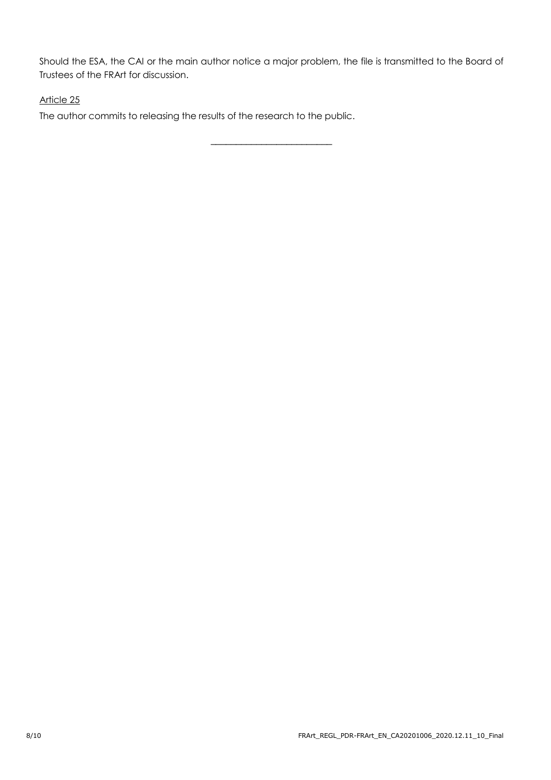Should the ESA, the CAI or the main author notice a major problem, the file is transmitted to the Board of Trustees of the FRArt for discussion.

\_\_\_\_\_\_\_\_\_\_\_\_\_\_\_\_\_\_\_\_\_\_\_\_

#### Article 25

The author commits to releasing the results of the research to the public.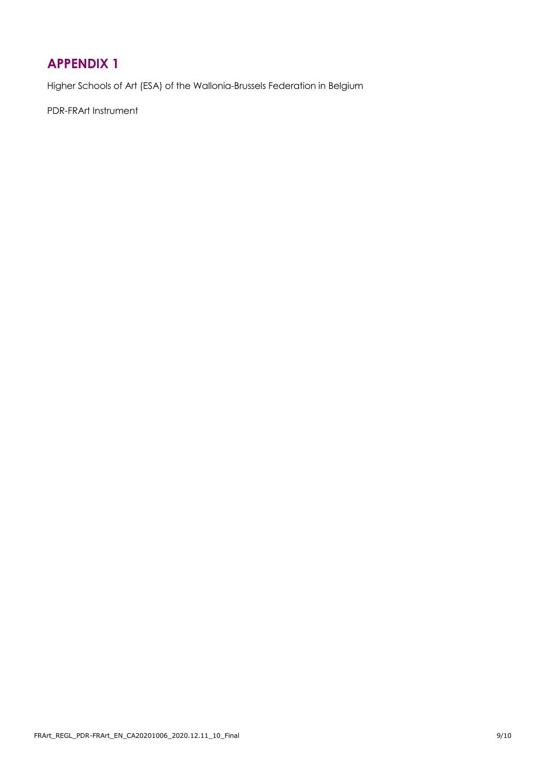## <span id="page-8-0"></span>**APPENDIX 1**

Higher Schools of Art (ESA) of the Wallonia-Brussels Federation in Belgium

PDR-FRArt Instrument